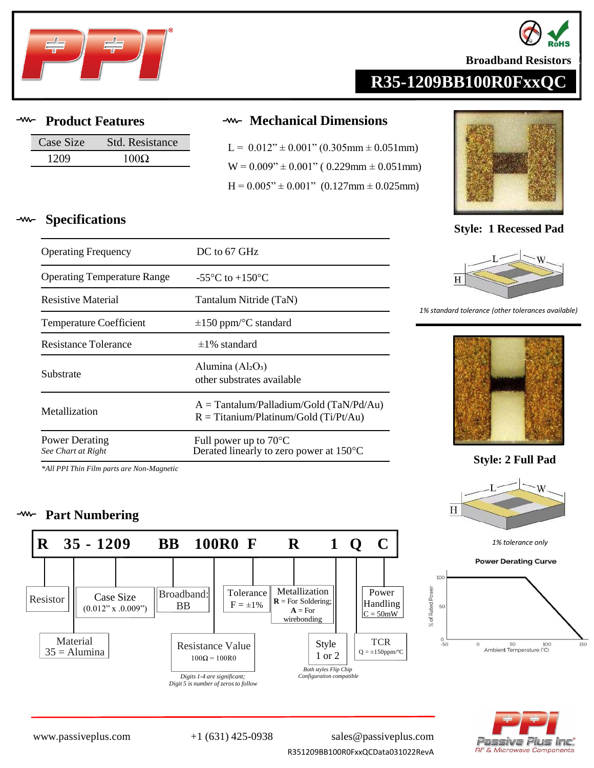



**Broadband Resistors** 

## **R35-1209BB100R0FxxQC**

**Specifications**

| Case Size | Std. Resistance |
|-----------|-----------------|
| 1209      | $100\Omega$     |

Operating Frequency DC to 67 GHz

Resistance Tolerance  $\pm 1\%$  standard

Operating Temperature Range  $-55^{\circ}$ C to  $+150^{\circ}$ C

Resistive Material Tantalum Nitride (TaN)

Temperature Coefficient  $\pm 150$  ppm/°C standard

Substrate other substrates available

## **Product Features Mechanical Dimensions**

 $L = 0.012$ "  $\pm 0.001$ " (0.305mm  $\pm 0.051$ mm)  $W = 0.009" \pm 0.001"$  ( 0.229mm  $\pm 0.051$  mm)  $H = 0.005" \pm 0.001"$  (0.127mm  $\pm$  0.025mm)



**Style: 1 Recessed Pad**



### *1% standard tolerance (other tolerances available)*



**Style: 2 Full Pad**





# assive Plus Inc. **RF & Microwave Components**

Power Derating *See Chart at Right* Full power up to 70°C Derated linearly to zero power at 150°C

*\*All PPI Thin Film parts are Non-Magnetic*

## **Part Numbering**



Alumina  $(Al_2O_3)$ 

Metallization  $R = T$ itanium/Platinum/Gold (Ti/Pt/Au)

A = Tantalum/Palladium/Gold (TaN/Pd/Au)

R351209BB100R0FxxQCData031022RevA [www.passiveplus.com](http://www.passiveplus.com) +1 (631) 425-0938 [sales@passiveplus.com](mailto:sales@passiveplus.com)